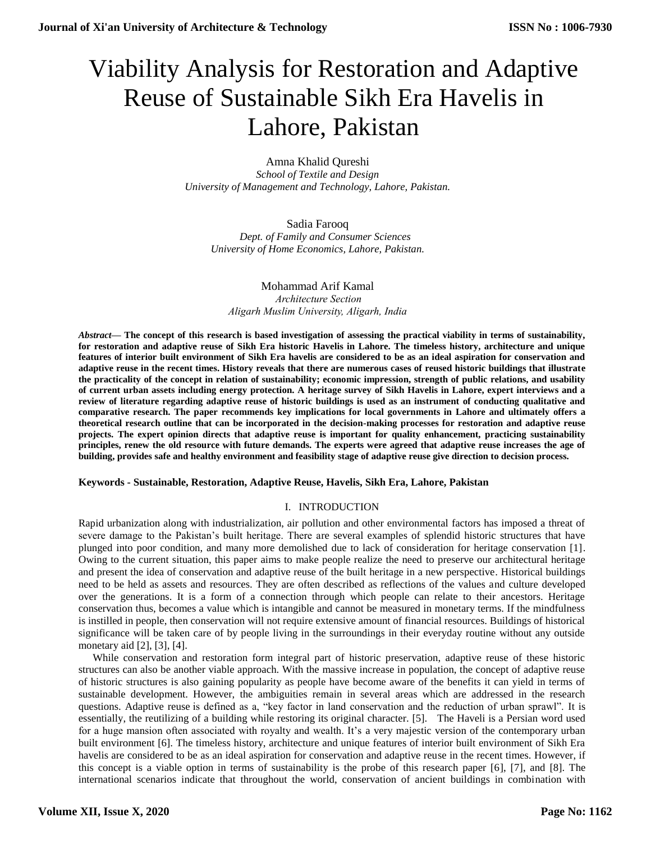# Viability Analysis for Restoration and Adaptive Reuse of Sustainable Sikh Era Havelis in Lahore, Pakistan

Amna Khalid Qureshi *School of Textile and Design University of Management and Technology, Lahore, Pakistan.*

Sadia Farooq *Dept. of Family and Consumer Sciences University of Home Economics, Lahore, Pakistan.*

Mohammad Arif Kamal *Architecture Section Aligarh Muslim University, Aligarh, India*

*Abstract***— The concept of this research is based investigation of assessing the practical viability in terms of sustainability, for restoration and adaptive reuse of Sikh Era historic Havelis in Lahore. The timeless history, architecture and unique features of interior built environment of Sikh Era havelis are considered to be as an ideal aspiration for conservation and adaptive reuse in the recent times. History reveals that there are numerous cases of reused historic buildings that illustrate the practicality of the concept in relation of sustainability; economic impression, strength of public relations, and usability of current urban assets including energy protection. A heritage survey of Sikh Havelis in Lahore, expert interviews and a review of literature regarding adaptive reuse of historic buildings is used as an instrument of conducting qualitative and comparative research. The paper recommends key implications for local governments in Lahore and ultimately offers a theoretical research outline that can be incorporated in the decision-making processes for restoration and adaptive reuse projects. The expert opinion directs that adaptive reuse is important for quality enhancement, practicing sustainability principles, renew the old resource with future demands. The experts were agreed that adaptive reuse increases the age of building, provides safe and healthy environment and feasibility stage of adaptive reuse give direction to decision process.**

## **Keywords - Sustainable, Restoration, Adaptive Reuse, Havelis, Sikh Era, Lahore, Pakistan**

## I. INTRODUCTION

Rapid urbanization along with industrialization, air pollution and other environmental factors has imposed a threat of severe damage to the Pakistan's built heritage. There are several examples of splendid historic structures that have plunged into poor condition, and many more demolished due to lack of consideration for heritage conservation [1]. Owing to the current situation, this paper aims to make people realize the need to preserve our architectural heritage and present the idea of conservation and adaptive reuse of the built heritage in a new perspective. Historical buildings need to be held as assets and resources. They are often described as reflections of the values and culture developed over the generations. It is a form of a connection through which people can relate to their ancestors. Heritage conservation thus, becomes a value which is intangible and cannot be measured in monetary terms. If the mindfulness is instilled in people, then conservation will not require extensive amount of financial resources. Buildings of historical significance will be taken care of by people living in the surroundings in their everyday routine without any outside monetary aid [2], [3], [4].

While conservation and restoration form integral part of historic preservation, adaptive reuse of these historic structures can also be another viable approach. With the massive increase in population, the concept of adaptive reuse of historic structures is also gaining popularity as people have become aware of the benefits it can yield in terms of sustainable development. However, the ambiguities remain in several areas which are addressed in the research questions. Adaptive reuse is defined as a, "key factor in land conservation and the reduction of urban sprawl". It is essentially, the reutilizing of a building while restoring its original character. [5]. The Haveli is a Persian word used for a huge mansion often associated with royalty and wealth. It's a very majestic version of the contemporary urban built environment [6]. The timeless history, architecture and unique features of interior built environment of Sikh Era havelis are considered to be as an ideal aspiration for conservation and adaptive reuse in the recent times. However, if this concept is a viable option in terms of sustainability is the probe of this research paper [6], [7], and [8]. The international scenarios indicate that throughout the world, conservation of ancient buildings in combination with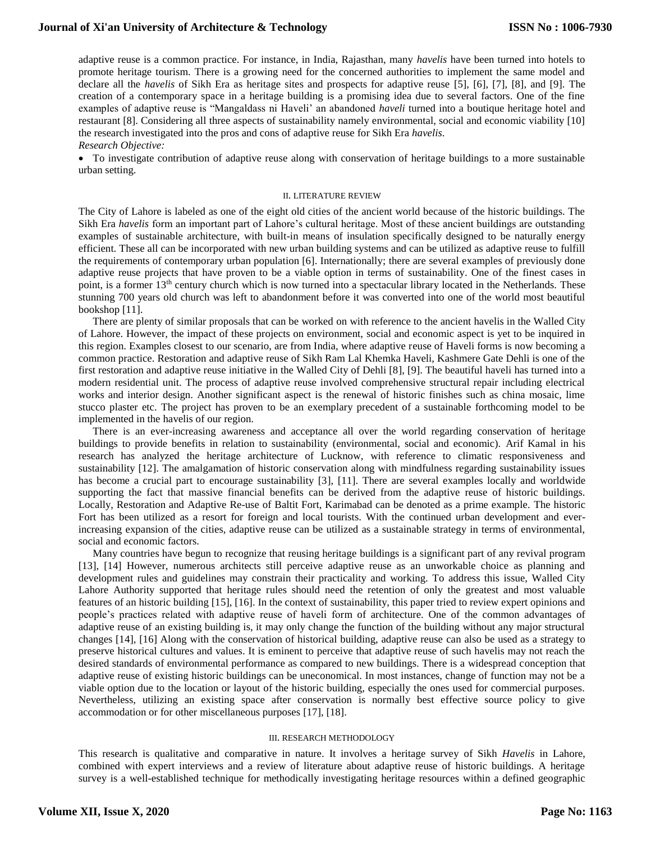# **Journal of Xi'an University of Architecture & Technology**

adaptive reuse is a common practice. For instance, in India, Rajasthan, many *havelis* have been turned into hotels to promote heritage tourism. There is a growing need for the concerned authorities to implement the same model and declare all the *havelis* of Sikh Era as heritage sites and prospects for adaptive reuse [5], [6], [7], [8], and [9]. The creation of a contemporary space in a heritage building is a promising idea due to several factors. One of the fine examples of adaptive reuse is "Mangaldass ni Haveli' an abandoned *haveli* turned into a boutique heritage hotel and restaurant [8]. Considering all three aspects of sustainability namely environmental, social and economic viability [10] the research investigated into the pros and cons of adaptive reuse for Sikh Era *havelis*. *Research Objective:*

 To investigate contribution of adaptive reuse along with conservation of heritage buildings to a more sustainable urban setting.

#### II. LITERATURE REVIEW

The City of Lahore is labeled as one of the eight old cities of the ancient world because of the historic buildings. The Sikh Era *havelis* form an important part of Lahore's cultural heritage. Most of these ancient buildings are outstanding examples of sustainable architecture, with built-in means of insulation specifically designed to be naturally energy efficient. These all can be incorporated with new urban building systems and can be utilized as adaptive reuse to fulfill the requirements of contemporary urban population [6]. Internationally; there are several examples of previously done adaptive reuse projects that have proven to be a viable option in terms of sustainability. One of the finest cases in point, is a former 13<sup>th</sup> century church which is now turned into a spectacular library located in the Netherlands. These stunning 700 years old church was left to abandonment before it was converted into one of the world most beautiful bookshop [11].

There are plenty of similar proposals that can be worked on with reference to the ancient havelis in the Walled City of Lahore. However, the impact of these projects on environment, social and economic aspect is yet to be inquired in this region. Examples closest to our scenario, are from India, where adaptive reuse of Haveli forms is now becoming a common practice. Restoration and adaptive reuse of Sikh Ram Lal Khemka Haveli, Kashmere Gate Dehli is one of the first restoration and adaptive reuse initiative in the Walled City of Dehli [8], [9]. The beautiful haveli has turned into a modern residential unit. The process of adaptive reuse involved comprehensive structural repair including electrical works and interior design. Another significant aspect is the renewal of historic finishes such as china mosaic, lime stucco plaster etc. The project has proven to be an exemplary precedent of a sustainable forthcoming model to be implemented in the havelis of our region.

There is an ever-increasing awareness and acceptance all over the world regarding conservation of heritage buildings to provide benefits in relation to sustainability (environmental, social and economic). Arif Kamal in his research has analyzed the heritage architecture of Lucknow, with reference to climatic responsiveness and sustainability [12]. The amalgamation of historic conservation along with mindfulness regarding sustainability issues has become a crucial part to encourage sustainability [3], [11]. There are several examples locally and worldwide supporting the fact that massive financial benefits can be derived from the adaptive reuse of historic buildings. Locally, Restoration and Adaptive Re-use of Baltit Fort, Karimabad can be denoted as a prime example. The historic Fort has been utilized as a resort for foreign and local tourists. With the continued urban development and everincreasing expansion of the cities, adaptive reuse can be utilized as a sustainable strategy in terms of environmental, social and economic factors.

Many countries have begun to recognize that reusing heritage buildings is a significant part of any revival program [13], [14] However, numerous architects still perceive adaptive reuse as an unworkable choice as planning and development rules and guidelines may constrain their practicality and working. To address this issue, Walled City Lahore Authority supported that heritage rules should need the retention of only the greatest and most valuable features of an historic building [15], [16]. In the context of sustainability, this paper tried to review expert opinions and people's practices related with adaptive reuse of haveli form of architecture. One of the common advantages of adaptive reuse of an existing building is, it may only change the function of the building without any major structural changes [14], [16] Along with the conservation of historical building, adaptive reuse can also be used as a strategy to preserve historical cultures and values. It is eminent to perceive that adaptive reuse of such havelis may not reach the desired standards of environmental performance as compared to new buildings. There is a widespread conception that adaptive reuse of existing historic buildings can be uneconomical. In most instances, change of function may not be a viable option due to the location or layout of the historic building, especially the ones used for commercial purposes. Nevertheless, utilizing an existing space after conservation is normally best effective source policy to give accommodation or for other miscellaneous purposes [17], [18].

#### III. RESEARCH METHODOLOGY

This research is qualitative and comparative in nature. It involves a heritage survey of Sikh *Havelis* in Lahore, combined with expert interviews and a review of literature about adaptive reuse of historic buildings. A heritage survey is a well-established technique for methodically investigating heritage resources within a defined geographic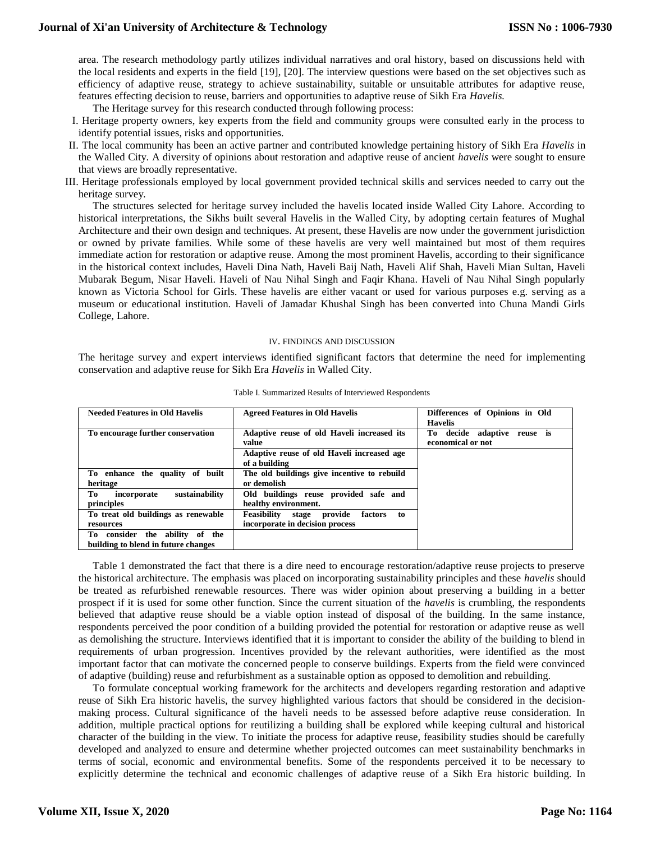# **Journal of Xi'an University of Architecture & Technology**

area. The research methodology partly utilizes individual narratives and oral history, based on discussions held with the local residents and experts in the field [19], [20]. The interview questions were based on the set objectives such as efficiency of adaptive reuse, strategy to achieve sustainability, suitable or unsuitable attributes for adaptive reuse, features effecting decision to reuse, barriers and opportunities to adaptive reuse of Sikh Era *Havelis.* 

The Heritage survey for this research conducted through following process:

- I. Heritage property owners, key experts from the field and community groups were consulted early in the process to identify potential issues, risks and opportunities.
- II. The local community has been an active partner and contributed knowledge pertaining history of Sikh Era *Havelis* in the Walled City. A diversity of opinions about restoration and adaptive reuse of ancient *havelis* were sought to ensure that views are broadly representative.
- III. Heritage professionals employed by local government provided technical skills and services needed to carry out the heritage survey*.*

The structures selected for heritage survey included the havelis located inside Walled City Lahore. According to historical interpretations, the Sikhs built several Havelis in the Walled City, by adopting certain features of Mughal Architecture and their own design and techniques. At present, these Havelis are now under the government jurisdiction or owned by private families. While some of these havelis are very well maintained but most of them requires immediate action for restoration or adaptive reuse. Among the most prominent Havelis, according to their significance in the historical context includes, Haveli Dina Nath, Haveli Baij Nath, Haveli Alif Shah, Haveli Mian Sultan, Haveli Mubarak Begum, Nisar Haveli. Haveli of Nau Nihal Singh and Faqir Khana. Haveli of Nau Nihal Singh popularly known as Victoria School for Girls. These havelis are either vacant or used for various purposes e.g. serving as a museum or educational institution. Haveli of Jamadar Khushal Singh has been converted into Chuna Mandi Girls College, Lahore.

#### IV. FINDINGS AND DISCUSSION

The heritage survey and expert interviews identified significant factors that determine the need for implementing conservation and adaptive reuse for Sikh Era *Havelis* in Walled City.

| <b>Needed Features in Old Havelis</b>                                 | <b>Agreed Features in Old Havelis</b>                                                | Differences of Opinions in Old<br><b>Havelis</b>    |  |  |
|-----------------------------------------------------------------------|--------------------------------------------------------------------------------------|-----------------------------------------------------|--|--|
| To encourage further conservation                                     | Adaptive reuse of old Haveli increased its<br>value                                  | To decide adaptive<br>reuse is<br>economical or not |  |  |
|                                                                       | Adaptive reuse of old Haveli increased age<br>of a building                          |                                                     |  |  |
| To enhance the quality of built<br>heritage                           | The old buildings give incentive to rebuild<br>or demolish                           |                                                     |  |  |
| Тo<br>sustainability<br>incorporate<br>principles                     | Old buildings reuse provided safe and<br>healthy environment.                        |                                                     |  |  |
| To treat old buildings as renewable<br>resources                      | <b>Feasibility</b> stage provide<br>factors<br>to<br>incorporate in decision process |                                                     |  |  |
| To consider the ability of the<br>building to blend in future changes |                                                                                      |                                                     |  |  |

Table I. Summarized Results of Interviewed Respondents

Table 1 demonstrated the fact that there is a dire need to encourage restoration/adaptive reuse projects to preserve the historical architecture. The emphasis was placed on incorporating sustainability principles and these *havelis* should be treated as refurbished renewable resources. There was wider opinion about preserving a building in a better prospect if it is used for some other function. Since the current situation of the *havelis* is crumbling, the respondents believed that adaptive reuse should be a viable option instead of disposal of the building. In the same instance, respondents perceived the poor condition of a building provided the potential for restoration or adaptive reuse as well as demolishing the structure. Interviews identified that it is important to consider the ability of the building to blend in requirements of urban progression. Incentives provided by the relevant authorities, were identified as the most important factor that can motivate the concerned people to conserve buildings. Experts from the field were convinced of adaptive (building) reuse and refurbishment as a sustainable option as opposed to demolition and rebuilding.

To formulate conceptual working framework for the architects and developers regarding restoration and adaptive reuse of Sikh Era historic havelis, the survey highlighted various factors that should be considered in the decisionmaking process. Cultural significance of the haveli needs to be assessed before adaptive reuse consideration. In addition, multiple practical options for reutilizing a building shall be explored while keeping cultural and historical character of the building in the view. To initiate the process for adaptive reuse, feasibility studies should be carefully developed and analyzed to ensure and determine whether projected outcomes can meet sustainability benchmarks in terms of social, economic and environmental benefits. Some of the respondents perceived it to be necessary to explicitly determine the technical and economic challenges of adaptive reuse of a Sikh Era historic building. In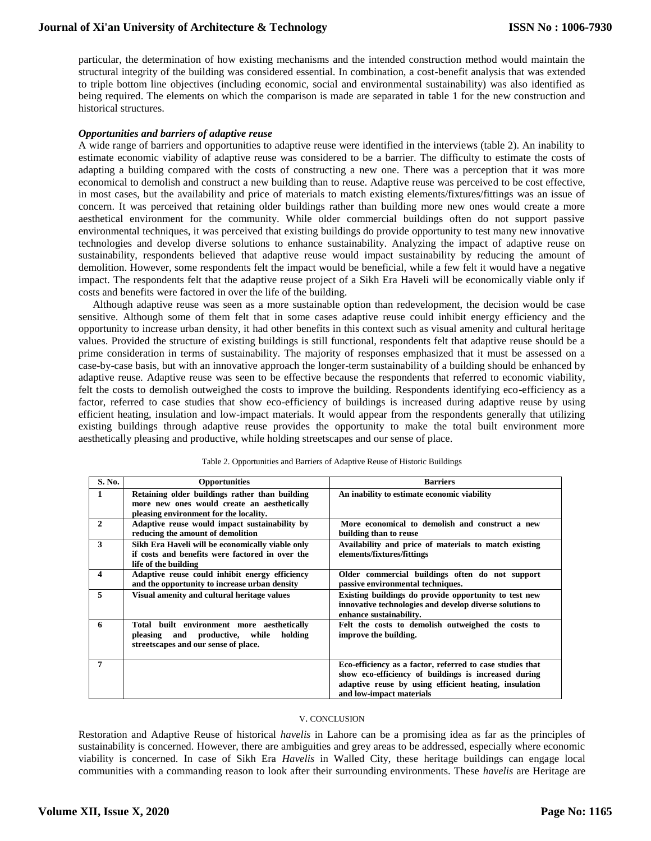particular, the determination of how existing mechanisms and the intended construction method would maintain the structural integrity of the building was considered essential. In combination, a cost-benefit analysis that was extended to triple bottom line objectives (including economic, social and environmental sustainability) was also identified as being required. The elements on which the comparison is made are separated in table 1 for the new construction and historical structures.

### *Opportunities and barriers of adaptive reuse*

A wide range of barriers and opportunities to adaptive reuse were identified in the interviews (table 2). An inability to estimate economic viability of adaptive reuse was considered to be a barrier. The difficulty to estimate the costs of adapting a building compared with the costs of constructing a new one. There was a perception that it was more economical to demolish and construct a new building than to reuse. Adaptive reuse was perceived to be cost effective, in most cases, but the availability and price of materials to match existing elements/fixtures/fittings was an issue of concern. It was perceived that retaining older buildings rather than building more new ones would create a more aesthetical environment for the community. While older commercial buildings often do not support passive environmental techniques, it was perceived that existing buildings do provide opportunity to test many new innovative technologies and develop diverse solutions to enhance sustainability. Analyzing the impact of adaptive reuse on sustainability, respondents believed that adaptive reuse would impact sustainability by reducing the amount of demolition. However, some respondents felt the impact would be beneficial, while a few felt it would have a negative impact. The respondents felt that the adaptive reuse project of a Sikh Era Haveli will be economically viable only if costs and benefits were factored in over the life of the building.

Although adaptive reuse was seen as a more sustainable option than redevelopment, the decision would be case sensitive. Although some of them felt that in some cases adaptive reuse could inhibit energy efficiency and the opportunity to increase urban density, it had other benefits in this context such as visual amenity and cultural heritage values. Provided the structure of existing buildings is still functional, respondents felt that adaptive reuse should be a prime consideration in terms of sustainability. The majority of responses emphasized that it must be assessed on a case-by-case basis, but with an innovative approach the longer-term sustainability of a building should be enhanced by adaptive reuse. Adaptive reuse was seen to be effective because the respondents that referred to economic viability, felt the costs to demolish outweighed the costs to improve the building. Respondents identifying eco-efficiency as a factor, referred to case studies that show eco-efficiency of buildings is increased during adaptive reuse by using efficient heating, insulation and low-impact materials. It would appear from the respondents generally that utilizing existing buildings through adaptive reuse provides the opportunity to make the total built environment more aesthetically pleasing and productive, while holding streetscapes and our sense of place.

| S. No.       | <b>Opportunities</b>                                                                                                                    | <b>Barriers</b>                                                                                                                                                                                        |  |  |
|--------------|-----------------------------------------------------------------------------------------------------------------------------------------|--------------------------------------------------------------------------------------------------------------------------------------------------------------------------------------------------------|--|--|
| $\mathbf{1}$ | Retaining older buildings rather than building<br>more new ones would create an aesthetically<br>pleasing environment for the locality. | An inability to estimate economic viability                                                                                                                                                            |  |  |
| $\mathbf{2}$ | Adaptive reuse would impact sustainability by<br>reducing the amount of demolition                                                      | More economical to demolish and construct a new<br>building than to reuse                                                                                                                              |  |  |
| 3            | Sikh Era Haveli will be economically viable only<br>if costs and benefits were factored in over the<br>life of the building             | Availability and price of materials to match existing<br>elements/fixtures/fittings                                                                                                                    |  |  |
| 4            | Adaptive reuse could inhibit energy efficiency<br>and the opportunity to increase urban density                                         | Older commercial buildings often do not support<br>passive environmental techniques.                                                                                                                   |  |  |
| 5            | Visual amenity and cultural heritage values                                                                                             | Existing buildings do provide opportunity to test new<br>innovative technologies and develop diverse solutions to<br>enhance sustainability.                                                           |  |  |
| 6            | Total built environment more aesthetically<br>productive, while<br>holding<br>pleasing<br>and<br>streetscapes and our sense of place.   | Felt the costs to demolish outweighed the costs to<br>improve the building.                                                                                                                            |  |  |
| 7            |                                                                                                                                         | Eco-efficiency as a factor, referred to case studies that<br>show eco-efficiency of buildings is increased during<br>adaptive reuse by using efficient heating, insulation<br>and low-impact materials |  |  |

| Table 2. Opportunities and Barriers of Adaptive Reuse of Historic Buildings |  |  |  |
|-----------------------------------------------------------------------------|--|--|--|

#### V. CONCLUSION

Restoration and Adaptive Reuse of historical *havelis* in Lahore can be a promising idea as far as the principles of sustainability is concerned. However, there are ambiguities and grey areas to be addressed, especially where economic viability is concerned. In case of Sikh Era *Havelis* in Walled City, these heritage buildings can engage local communities with a commanding reason to look after their surrounding environments. These *havelis* are Heritage are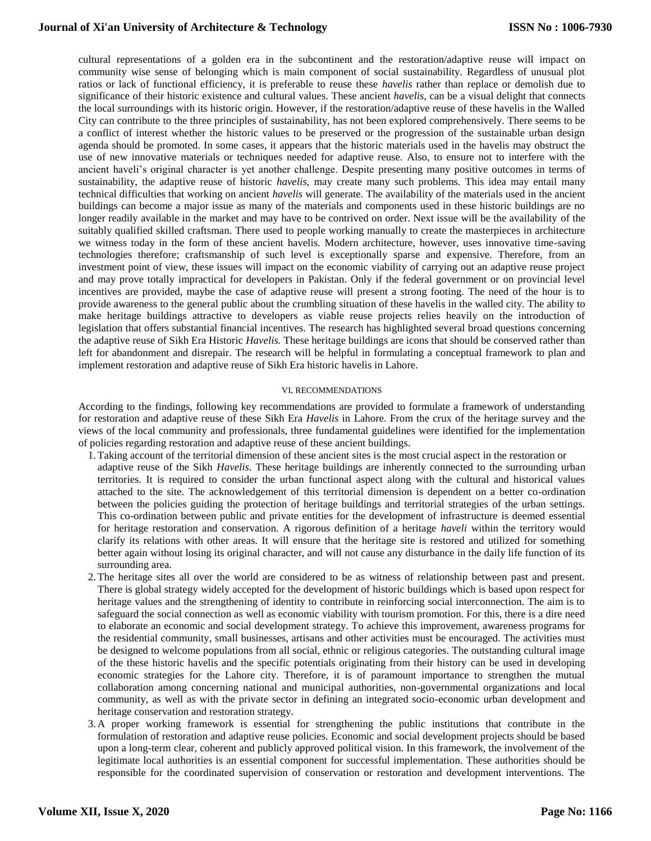# **Journal of Xi'an University of Architecture & Technology**

cultural representations of a golden era in the subcontinent and the restoration/adaptive reuse will impact on community wise sense of belonging which is main component of social sustainability. Regardless of unusual plot ratios or lack of functional efficiency, it is preferable to reuse these *havelis* rather than replace or demolish due to significance of their historic existence and cultural values. These ancient *havelis*, can be a visual delight that connects the local surroundings with its historic origin. However, if the restoration/adaptive reuse of these havelis in the Walled City can contribute to the three principles of sustainability, has not been explored comprehensively. There seems to be a conflict of interest whether the historic values to be preserved or the progression of the sustainable urban design agenda should be promoted. In some cases, it appears that the historic materials used in the havelis may obstruct the use of new innovative materials or techniques needed for adaptive reuse. Also, to ensure not to interfere with the ancient haveli's original character is yet another challenge. Despite presenting many positive outcomes in terms of sustainability, the adaptive reuse of historic *havelis*, may create many such problems. This idea may entail many technical difficulties that working on ancient *havelis* will generate. The availability of the materials used in the ancient buildings can become a major issue as many of the materials and components used in these historic buildings are no longer readily available in the market and may have to be contrived on order. Next issue will be the availability of the suitably qualified skilled craftsman. There used to people working manually to create the masterpieces in architecture we witness today in the form of these ancient havelis. Modern architecture, however, uses innovative time-saving technologies therefore; craftsmanship of such level is exceptionally sparse and expensive. Therefore, from an investment point of view, these issues will impact on the economic viability of carrying out an adaptive reuse project and may prove totally impractical for developers in Pakistan. Only if the federal government or on provincial level incentives are provided, maybe the case of adaptive reuse will present a strong footing. The need of the hour is to provide awareness to the general public about the crumbling situation of these havelis in the walled city. The ability to make heritage buildings attractive to developers as viable reuse projects relies heavily on the introduction of legislation that offers substantial financial incentives. The research has highlighted several broad questions concerning the adaptive reuse of Sikh Era Historic *Havelis.* These heritage buildings are icons that should be conserved rather than left for abandonment and disrepair. The research will be helpful in formulating a conceptual framework to plan and implement restoration and adaptive reuse of Sikh Era historic havelis in Lahore.

#### VI. RECOMMENDATIONS

According to the findings, following key recommendations are provided to formulate a framework of understanding for restoration and adaptive reuse of these Sikh Era *Havelis* in Lahore. From the crux of the heritage survey and the views of the local community and professionals, three fundamental guidelines were identified for the implementation of policies regarding restoration and adaptive reuse of these ancient buildings.

- 1.Taking account of the territorial dimension of these ancient sites is the most crucial aspect in the restoration or adaptive reuse of the Sikh *Havelis*. These heritage buildings are inherently connected to the surrounding urban territories. It is required to consider the urban functional aspect along with the cultural and historical values attached to the site. The acknowledgement of this territorial dimension is dependent on a better co-ordination between the policies guiding the protection of heritage buildings and territorial strategies of the urban settings. This co-ordination between public and private entities for the development of infrastructure is deemed essential for heritage restoration and conservation. A rigorous definition of a heritage *haveli* within the territory would clarify its relations with other areas. It will ensure that the heritage site is restored and utilized for something better again without losing its original character, and will not cause any disturbance in the daily life function of its surrounding area.
- 2.The heritage sites all over the world are considered to be as witness of relationship between past and present. There is global strategy widely accepted for the development of historic buildings which is based upon respect for heritage values and the strengthening of identity to contribute in reinforcing social interconnection. The aim is to safeguard the social connection as well as economic viability with tourism promotion. For this, there is a dire need to elaborate an economic and social development strategy. To achieve this improvement, awareness programs for the residential community, small businesses, artisans and other activities must be encouraged. The activities must be designed to welcome populations from all social, ethnic or religious categories. The outstanding cultural image of the these historic havelis and the specific potentials originating from their history can be used in developing economic strategies for the Lahore city. Therefore, it is of paramount importance to strengthen the mutual collaboration among concerning national and municipal authorities, non-governmental organizations and local community, as well as with the private sector in defining an integrated socio-economic urban development and heritage conservation and restoration strategy.
- 3. A proper working framework is essential for strengthening the public institutions that contribute in the formulation of restoration and adaptive reuse policies. Economic and social development projects should be based upon a long-term clear, coherent and publicly approved political vision. In this framework, the involvement of the legitimate local authorities is an essential component for successful implementation. These authorities should be responsible for the coordinated supervision of conservation or restoration and development interventions. The